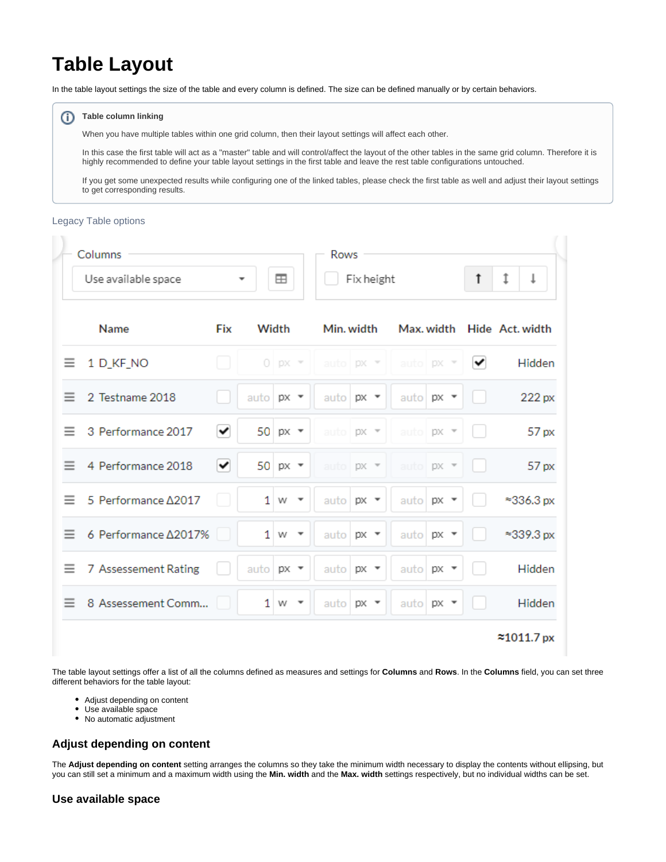# **Table Layout**

In the table layout settings the size of the table and every column is defined. The size can be defined manually or by certain behaviors.

#### **Table column linking** G)

When you have multiple tables within one grid column, then their layout settings will affect each other.

In this case the first table will act as a "master" table and will control/affect the layout of the other tables in the same grid column. Therefore it is highly recommended to define your table layout settings in the first table and leave the rest table configurations untouched.

If you get some unexpected results while configuring one of the linked tables, please check the first table as well and adjust their layout settings to get corresponding results.

### Legacy Table options

|          | Columns                                              |     |             |                                     |            | <b>Rows</b> |      |                |                          |                |                            |
|----------|------------------------------------------------------|-----|-------------|-------------------------------------|------------|-------------|------|----------------|--------------------------|----------------|----------------------------|
|          | ⊞<br>Use available space<br>$\overline{\phantom{a}}$ |     |             |                                     | Fix height |             |      |                | ţ<br>t                   |                |                            |
|          | Name                                                 | Fix | Width       |                                     |            | Min. width  |      |                |                          |                | Max. width Hide Act. width |
| $\equiv$ | 1 D_KF_NO                                            |     |             | $0$ px $\overline{ }$               |            | auto $px -$ |      | auto <b>px</b> | $\overline{\phantom{a}}$ | $\checkmark$   | Hidden                     |
| $\equiv$ | 2 Testname 2018                                      |     | auto $px -$ |                                     |            | auto $px -$ |      |                | auto $px -$              |                | 222 px                     |
| $\equiv$ | 3 Performance 2017                                   | ✔   |             | 50 $px -$                           |            | auto   px = |      |                | auto px =                |                | 57 px                      |
| $\equiv$ | 4 Performance 2018                                   | ✓   |             | 50 $px -$                           |            | auto px =   |      |                | auto px =                | <b>College</b> | 57 px                      |
| $=$      | 5 Performance Δ2017                                  |     |             | $1 \leq w$                          |            | auto        | px = |                | auto $px \rightarrow$    |                | $\approx$ 336.3 px         |
| $=$      | 6 Performance ∆2017%                                 |     |             | $1 \leq w$                          |            | auto $px -$ |      |                | auto $px \rightarrow$    |                | $\approx$ 339.3 px         |
| Ξ        | 7 Assessement Rating                                 |     | auto $px -$ |                                     |            | auto        | px ▼ |                | auto $px -$              |                | Hidden                     |
| Ξ        | 8 Assessement Comm                                   |     |             | $1 \le$<br>$\overline{\phantom{a}}$ |            | auto $px -$ |      |                | auto $px \rightarrow$    |                | Hidden                     |
|          |                                                      |     |             |                                     |            |             |      |                |                          |                | ≈1011.7px                  |

The table layout settings offer a list of all the columns defined as measures and settings for **Columns** and **Rows**. In the **Columns** field, you can set three different behaviors for the table layout:

- Adjust depending on content
- Use available space
- No automatic adjustment

# **Adjust depending on content**

The **Adjust depending on content** setting arranges the columns so they take the minimum width necessary to display the contents without ellipsing, but you can still set a minimum and a maximum width using the **Min. width** and the **Max. width** settings respectively, but no individual widths can be set.

# **Use available space**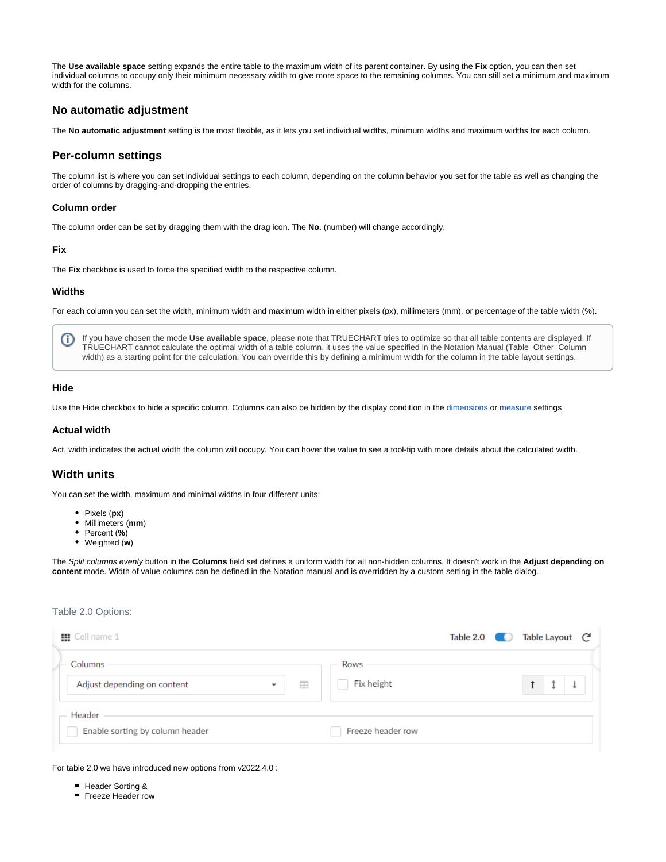The **Use available space** setting expands the entire table to the maximum width of its parent container. By using the **Fix** option, you can then set individual columns to occupy only their minimum necessary width to give more space to the remaining columns. You can still set a minimum and maximum width for the columns.

# **No automatic adjustment**

The **No automatic adjustment** setting is the most flexible, as it lets you set individual widths, minimum widths and maximum widths for each column.

# **Per-column settings**

The column list is where you can set individual settings to each column, depending on the column behavior you set for the table as well as changing the order of columns by dragging-and-dropping the entries.

#### **Column order**

The column order can be set by dragging them with the drag icon. The **No.** (number) will change accordingly.

#### **Fix**

The **Fix** checkbox is used to force the specified width to the respective column.

#### **Widths**

For each column you can set the width, minimum width and maximum width in either pixels (px), millimeters (mm), or percentage of the table width (%).

If you have chosen the mode **Use available space**, please note that TRUECHART tries to optimize so that all table contents are displayed. If O) TRUECHART cannot calculate the optimal width of a table column, it uses the value specified in the Notation Manual (Table Other Column width) as a starting point for the calculation. You can override this by defining a minimum width for the column in the table layout settings.

#### **Hide**

Use the Hide checkbox to hide a specific column. Columns can also be hidden by the display condition in the [dimensions](https://dev.highcoordination.de/wiki/display/tckb/Dimension+settings#Dimensionsettings-General) or [measure](https://dev.highcoordination.de/wiki/display/tckb/Measure+settings#Measuresettings-Generalsettings) settings

#### **Actual width**

Act. width indicates the actual width the column will occupy. You can hover the value to see a tool-tip with more details about the calculated width.

# **Width units**

You can set the width, maximum and minimal widths in four different units:

- Pixels (**px**)
- Millimeters (**mm**)
- Percent (**%**)
- Weighted (**w**)

The Split columns evenly button in the **Columns** field set defines a uniform width for all non-hidden columns. It doesn't work in the **Adjust depending on content** mode. Width of value columns can be defined in the Notation manual and is overridden by a custom setting in the table dialog.

# Table 2.0 Options:

| <b>Ⅲ</b> Cell name 1                                                    | Table 2.0          | Table Layout - C <sup>a</sup> |
|-------------------------------------------------------------------------|--------------------|-------------------------------|
| Columns<br>Adjust depending on content<br>E<br>$\overline{\phantom{a}}$ | Rows<br>Fix height |                               |
| Header<br>Enable sorting by column header                               | Freeze header row  |                               |

For table 2.0 we have introduced new options from v2022.4.0 :

- **Header Sorting &**
- **Freeze Header row**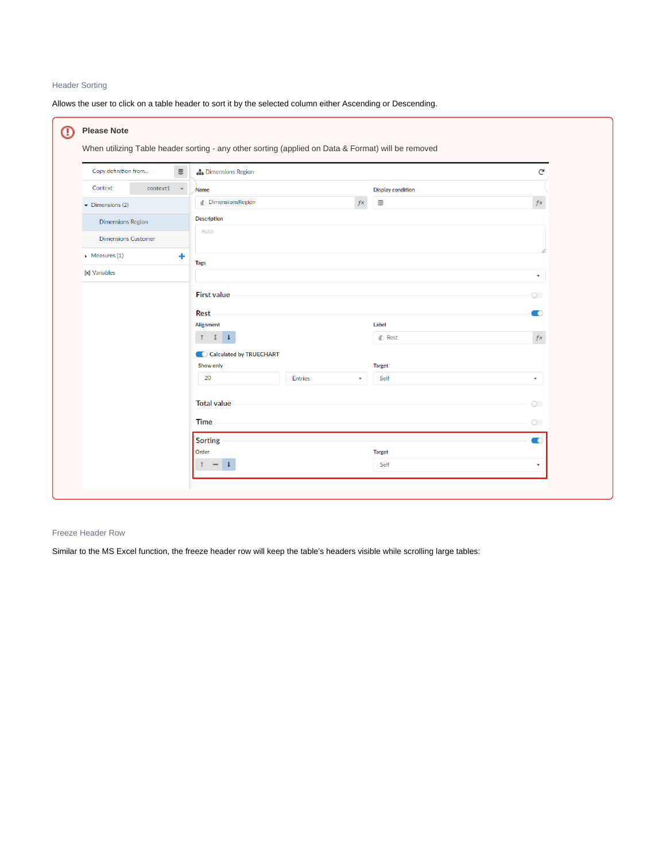# Header Sorting

Allows the user to click on a table header to sort it by the selected column either Ascending or Descending.

| Context<br>context1<br>$\overline{\phantom{a}}$<br><b>Display condition</b><br>Name<br><b>In DimensionsRegion</b><br>$\mathrel{\mathop{\boxplus}}$<br>$f_{x}$<br>$\blacktriangleright$ Dimensions (2)<br><b>Description</b><br><b>Dimensions Region</b><br>Auto<br><b>Dimensions Customer</b><br>$\triangleright$ Measures (1)<br>٠<br><b>Tags</b><br>[x] Variables<br><b>First value</b><br><b>Rest</b><br>Alignment<br>Label<br>1 1 1<br>In Rest<br>Calculated by TRUECHART<br>Show only<br><b>Target</b><br>20<br><b>Entries</b><br>Self<br>$\overline{\phantom{a}}$<br><b>Total value</b><br><b>Time</b><br>Sorting | Copy definition from<br>$\mathrel{\mathop{\mathsf{e}}\nolimits}$ | <b>In Dimensions Region</b> |                          |                          |  |  |
|-------------------------------------------------------------------------------------------------------------------------------------------------------------------------------------------------------------------------------------------------------------------------------------------------------------------------------------------------------------------------------------------------------------------------------------------------------------------------------------------------------------------------------------------------------------------------------------------------------------------------|------------------------------------------------------------------|-----------------------------|--------------------------|--------------------------|--|--|
|                                                                                                                                                                                                                                                                                                                                                                                                                                                                                                                                                                                                                         |                                                                  |                             |                          |                          |  |  |
|                                                                                                                                                                                                                                                                                                                                                                                                                                                                                                                                                                                                                         |                                                                  |                             |                          | $f\boldsymbol{x}$        |  |  |
|                                                                                                                                                                                                                                                                                                                                                                                                                                                                                                                                                                                                                         |                                                                  |                             |                          |                          |  |  |
|                                                                                                                                                                                                                                                                                                                                                                                                                                                                                                                                                                                                                         |                                                                  |                             |                          |                          |  |  |
|                                                                                                                                                                                                                                                                                                                                                                                                                                                                                                                                                                                                                         |                                                                  |                             |                          |                          |  |  |
|                                                                                                                                                                                                                                                                                                                                                                                                                                                                                                                                                                                                                         |                                                                  |                             |                          |                          |  |  |
|                                                                                                                                                                                                                                                                                                                                                                                                                                                                                                                                                                                                                         |                                                                  |                             |                          | $\overline{\phantom{a}}$ |  |  |
|                                                                                                                                                                                                                                                                                                                                                                                                                                                                                                                                                                                                                         |                                                                  |                             | $\circ$                  |                          |  |  |
|                                                                                                                                                                                                                                                                                                                                                                                                                                                                                                                                                                                                                         |                                                                  |                             |                          | $\bullet$                |  |  |
|                                                                                                                                                                                                                                                                                                                                                                                                                                                                                                                                                                                                                         |                                                                  |                             |                          |                          |  |  |
|                                                                                                                                                                                                                                                                                                                                                                                                                                                                                                                                                                                                                         |                                                                  |                             |                          | $\sqrt{f}X$              |  |  |
|                                                                                                                                                                                                                                                                                                                                                                                                                                                                                                                                                                                                                         |                                                                  |                             |                          |                          |  |  |
|                                                                                                                                                                                                                                                                                                                                                                                                                                                                                                                                                                                                                         |                                                                  |                             | $\overline{\phantom{a}}$ |                          |  |  |
|                                                                                                                                                                                                                                                                                                                                                                                                                                                                                                                                                                                                                         |                                                                  |                             |                          |                          |  |  |
|                                                                                                                                                                                                                                                                                                                                                                                                                                                                                                                                                                                                                         |                                                                  |                             | $\circ$                  |                          |  |  |
|                                                                                                                                                                                                                                                                                                                                                                                                                                                                                                                                                                                                                         |                                                                  |                             | $\circ$                  |                          |  |  |
|                                                                                                                                                                                                                                                                                                                                                                                                                                                                                                                                                                                                                         |                                                                  |                             |                          | $\blacksquare$           |  |  |
| Order<br><b>Target</b>                                                                                                                                                                                                                                                                                                                                                                                                                                                                                                                                                                                                  |                                                                  |                             |                          |                          |  |  |

# Freeze Header Row

Similar to the MS Excel function, the freeze header row will keep the table's headers visible while scrolling large tables: